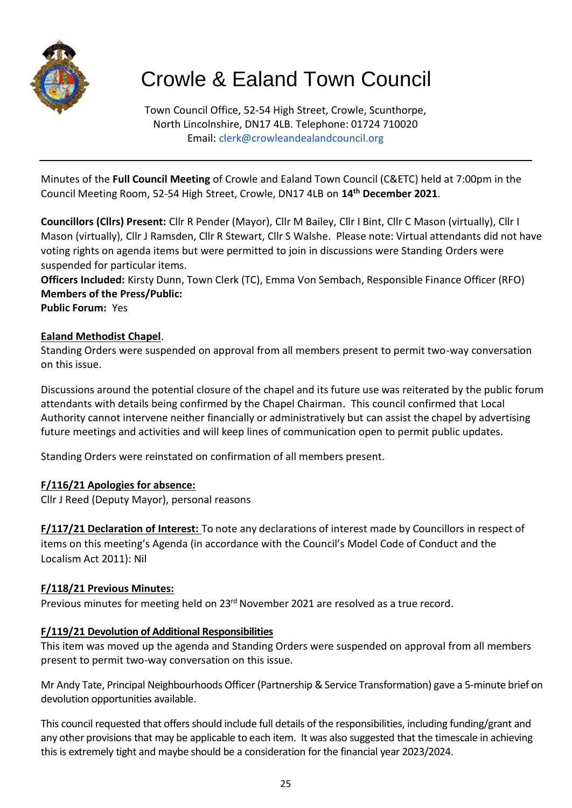

# Crowle & Ealand Town Council

Town Council Office, 52-54 High Street, Crowle, Scunthorpe, North Lincolnshire, DN17 4LB. Telephone: 01724 710020 Email: [clerk@crowleandealandcouncil.org](mailto:clerk@crowleandealandcouncil.org)

Minutes of the **Full Council Meeting** of Crowle and Ealand Town Council (C&ETC) held at 7:00pm in the Council Meeting Room, 52-54 High Street, Crowle, DN17 4LB on **14th December 2021**.

**Councillors (Cllrs) Present:** Cllr R Pender (Mayor), Cllr M Bailey, Cllr I Bint, Cllr C Mason (virtually), Cllr I Mason (virtually), Cllr J Ramsden, Cllr R Stewart, Cllr S Walshe. Please note: Virtual attendants did not have voting rights on agenda items but were permitted to join in discussions were Standing Orders were suspended for particular items.

**Officers Included:** Kirsty Dunn, Town Clerk (TC), Emma Von Sembach, Responsible Finance Officer (RFO) **Members of the Press/Public:** 

**Public Forum:** Yes

#### **Ealand Methodist Chapel**.

Standing Orders were suspended on approval from all members present to permit two-way conversation on this issue.

Discussions around the potential closure of the chapel and its future use was reiterated by the public forum attendants with details being confirmed by the Chapel Chairman. This council confirmed that Local Authority cannot intervene neither financially or administratively but can assist the chapel by advertising future meetings and activities and will keep lines of communication open to permit public updates.

Standing Orders were reinstated on confirmation of all members present.

#### **F/116/21 Apologies for absence:**

Cllr J Reed (Deputy Mayor), personal reasons

**F/117/21 Declaration of Interest:** To note any declarations of interest made by Councillors in respect of items on this meeting's Agenda (in accordance with the Council's Model Code of Conduct and the Localism Act 2011): Nil

#### **F/118/21 Previous Minutes:**

Previous minutes for meeting held on 23<sup>rd</sup> November 2021 are resolved as a true record.

#### **F/119/21 Devolution of Additional Responsibilities**

This item was moved up the agenda and Standing Orders were suspended on approval from all members present to permit two-way conversation on this issue.

Mr Andy Tate, Principal Neighbourhoods Officer (Partnership & Service Transformation) gave a 5-minute brief on devolution opportunities available.

This council requested that offers should include full details of the responsibilities, including funding/grant and any other provisions that may be applicable to each item. It was also suggested that the timescale in achieving this is extremely tight and maybe should be a consideration for the financial year 2023/2024.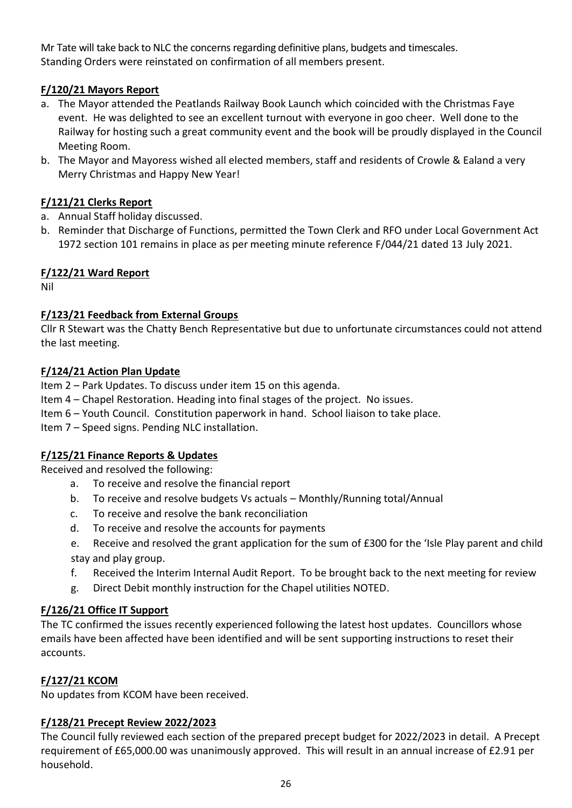Mr Tate will take back to NLC the concerns regarding definitive plans, budgets and timescales. Standing Orders were reinstated on confirmation of all members present.

# **F/120/21 Mayors Report**

- a. The Mayor attended the Peatlands Railway Book Launch which coincided with the Christmas Faye event. He was delighted to see an excellent turnout with everyone in goo cheer. Well done to the Railway for hosting such a great community event and the book will be proudly displayed in the Council Meeting Room.
- b. The Mayor and Mayoress wished all elected members, staff and residents of Crowle & Ealand a very Merry Christmas and Happy New Year!

# **F/121/21 Clerks Report**

- a. Annual Staff holiday discussed.
- b. Reminder that Discharge of Functions, permitted the Town Clerk and RFO under Local Government Act 1972 section 101 remains in place as per meeting minute reference F/044/21 dated 13 July 2021.

# **F/122/21 Ward Report**

Nil

# **F/123/21 Feedback from External Groups**

Cllr R Stewart was the Chatty Bench Representative but due to unfortunate circumstances could not attend the last meeting.

# **F/124/21 Action Plan Update**

Item 2 – Park Updates. To discuss under item 15 on this agenda.

Item 4 – Chapel Restoration. Heading into final stages of the project. No issues.

Item 6 – Youth Council. Constitution paperwork in hand. School liaison to take place.

Item 7 – Speed signs. Pending NLC installation.

# **F/125/21 Finance Reports & Updates**

Received and resolved the following:

- a. To receive and resolve the financial report
- b. To receive and resolve budgets Vs actuals Monthly/Running total/Annual
- c. To receive and resolve the bank reconciliation
- d. To receive and resolve the accounts for payments
- e. Receive and resolved the grant application for the sum of £300 for the 'Isle Play parent and child stay and play group.
- f. Received the Interim Internal Audit Report. To be brought back to the next meeting for review
- g. Direct Debit monthly instruction for the Chapel utilities NOTED.

# **F/126/21 Office IT Support**

The TC confirmed the issues recently experienced following the latest host updates. Councillors whose emails have been affected have been identified and will be sent supporting instructions to reset their accounts.

# **F/127/21 KCOM**

No updates from KCOM have been received.

#### **F/128/21 Precept Review 2022/2023**

The Council fully reviewed each section of the prepared precept budget for 2022/2023 in detail. A Precept requirement of £65,000.00 was unanimously approved. This will result in an annual increase of £2.91 per household.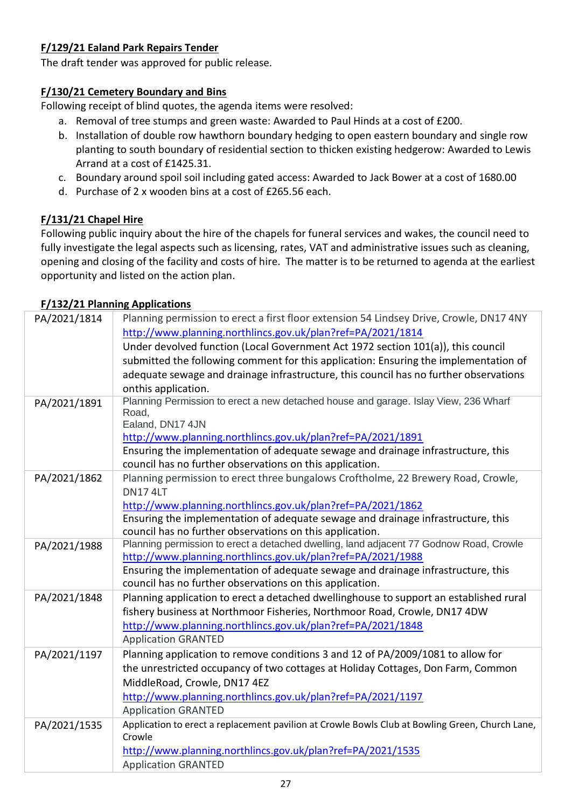# **F/129/21 Ealand Park Repairs Tender**

The draft tender was approved for public release.

#### **F/130/21 Cemetery Boundary and Bins**

Following receipt of blind quotes, the agenda items were resolved:

- a. Removal of tree stumps and green waste: Awarded to Paul Hinds at a cost of £200.
- b. Installation of double row hawthorn boundary hedging to open eastern boundary and single row planting to south boundary of residential section to thicken existing hedgerow: Awarded to Lewis Arrand at a cost of £1425.31.
- c. Boundary around spoil soil including gated access: Awarded to Jack Bower at a cost of 1680.00
- d. Purchase of 2 x wooden bins at a cost of £265.56 each.

# **F/131/21 Chapel Hire**

Following public inquiry about the hire of the chapels for funeral services and wakes, the council need to fully investigate the legal aspects such as licensing, rates, VAT and administrative issues such as cleaning, opening and closing of the facility and costs of hire. The matter is to be returned to agenda at the earliest opportunity and listed on the action plan.

#### **F/132/21 Planning Applications**

| PA/2021/1814 | Planning permission to erect a first floor extension 54 Lindsey Drive, Crowle, DN17 4NY              |
|--------------|------------------------------------------------------------------------------------------------------|
|              | http://www.planning.northlincs.gov.uk/plan?ref=PA/2021/1814                                          |
|              | Under devolved function (Local Government Act 1972 section 101(a)), this council                     |
|              | submitted the following comment for this application: Ensuring the implementation of                 |
|              | adequate sewage and drainage infrastructure, this council has no further observations                |
|              | onthis application.                                                                                  |
| PA/2021/1891 | Planning Permission to erect a new detached house and garage. Islay View, 236 Wharf<br>Road,         |
|              | Ealand, DN17 4JN                                                                                     |
|              | http://www.planning.northlincs.gov.uk/plan?ref=PA/2021/1891                                          |
|              | Ensuring the implementation of adequate sewage and drainage infrastructure, this                     |
|              | council has no further observations on this application.                                             |
| PA/2021/1862 | Planning permission to erect three bungalows Croftholme, 22 Brewery Road, Crowle,<br><b>DN17 4LT</b> |
|              | http://www.planning.northlincs.gov.uk/plan?ref=PA/2021/1862                                          |
|              | Ensuring the implementation of adequate sewage and drainage infrastructure, this                     |
|              | council has no further observations on this application.                                             |
| PA/2021/1988 | Planning permission to erect a detached dwelling, land adjacent 77 Godnow Road, Crowle               |
|              | http://www.planning.northlincs.gov.uk/plan?ref=PA/2021/1988                                          |
|              | Ensuring the implementation of adequate sewage and drainage infrastructure, this                     |
|              | council has no further observations on this application.                                             |
| PA/2021/1848 | Planning application to erect a detached dwellinghouse to support an established rural               |
|              | fishery business at Northmoor Fisheries, Northmoor Road, Crowle, DN17 4DW                            |
|              | http://www.planning.northlincs.gov.uk/plan?ref=PA/2021/1848                                          |
|              | <b>Application GRANTED</b>                                                                           |
| PA/2021/1197 | Planning application to remove conditions 3 and 12 of PA/2009/1081 to allow for                      |
|              | the unrestricted occupancy of two cottages at Holiday Cottages, Don Farm, Common                     |
|              | MiddleRoad, Crowle, DN17 4EZ                                                                         |
|              | http://www.planning.northlincs.gov.uk/plan?ref=PA/2021/1197                                          |
|              | <b>Application GRANTED</b>                                                                           |
|              | Application to erect a replacement pavilion at Crowle Bowls Club at Bowling Green, Church Lane,      |
| PA/2021/1535 | Crowle                                                                                               |
|              | http://www.planning.northlincs.gov.uk/plan?ref=PA/2021/1535                                          |
|              | <b>Application GRANTED</b>                                                                           |
|              |                                                                                                      |